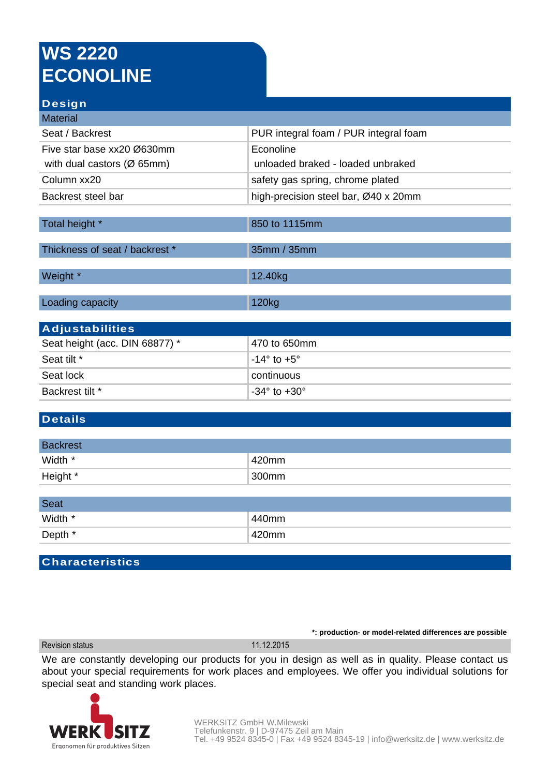# **WS 2220 ECONOLINE**

### **Design**

| <b>Material</b>                         |                                       |
|-----------------------------------------|---------------------------------------|
| Seat / Backrest                         | PUR integral foam / PUR integral foam |
| Five star base xx20 Ø630mm              | Econoline                             |
| with dual castors ( $\varnothing$ 65mm) | unloaded braked - loaded unbraked     |
| Column xx20                             | safety gas spring, chrome plated      |
| Backrest steel bar                      | high-precision steel bar, Ø40 x 20mm  |
|                                         |                                       |
| Total height *                          | 850 to 1115mm                         |
| Thickness of seat / backrest *          | 35mm / 35mm                           |
| Weight *                                | 12.40kg                               |
| Loading capacity                        | 120kg                                 |
| <b>Adjustabilities</b>                  |                                       |
| Seat height (acc. DIN 68877) *          | 470 to 650mm                          |
| Seat tilt *                             | $-14^{\circ}$ to $+5^{\circ}$         |
| Seat lock                               | continuous                            |
| Backrest tilt *                         | $-34^\circ$ to $+30^\circ$            |

### **Details**

| <b>Backrest</b> |       |
|-----------------|-------|
| Width *         | 420mm |
| Height *        | 300mm |

| <b>Seat</b> |          |
|-------------|----------|
| Width *     | 440mm    |
| Depth *     | $420$ mm |

#### **Characteristics**

Revision status 11.12.2015

**\*: production- or model-related differences are possible**

We are constantly developing our products for you in design as well as in quality. Please contact us about your special requirements for work places and employees. We offer you individual solutions for special seat and standing work places.